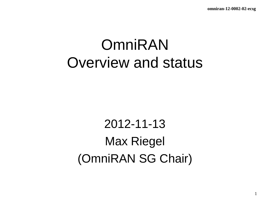# OmniRAN Overview and status

2012-11-13 Max Riegel (OmniRAN SG Chair)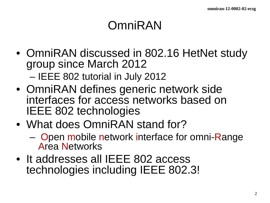## OmniRAN

- OmniRAN discussed in 802.16 HetNet study group since March 2012 – IEEE 802 tutorial in July 2012
- OmniRAN defines generic network side interfaces for access networks based on IEEE 802 technologies
- What does OmniRAN stand for?
	- Open mobile network interface for omni-Range Area Networks
- It addresses all IEEE 802 access technologies including IEEE 802.3!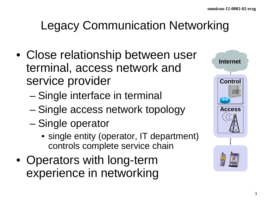# Legacy Communication Networking

- Close relationship between user terminal, access network and service provider
	- Single interface in terminal
	- Single access network topology
	- Single operator
		- single entity (operator, IT department) controls complete service chain
- Operators with long-term experience in networking

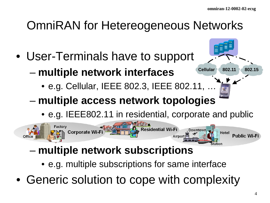**Cellular 802.11 802.15**

## OmniRAN for Hetereogeneous Networks

- User-Terminals have to support
	- **multiple network interfaces**
		- e.g. Cellular, IEEE 802.3, IEEE 802.11, …
	- **multiple access network topologies**
		- e.g. IEEE802.11 in residential, corporate and public



- **multiple network subscriptions**
	- e.g. multiple subscriptions for same interface
- Generic solution to cope with complexity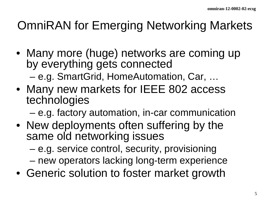## OmniRAN for Emerging Networking Markets

- Many more (huge) networks are coming up by everything gets connected – e.g. SmartGrid, HomeAutomation, Car, …
- Many new markets for IEEE 802 access technologies

– e.g. factory automation, in-car communication

• New deployments often suffering by the same old networking issues

– e.g. service control, security, provisioning

- new operators lacking long-term experience
- Generic solution to foster market growth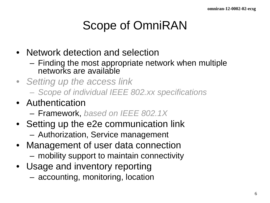# Scope of OmniRAN

- Network detection and selection
	- Finding the most appropriate network when multiple networks are available
- *Setting up the access link*
	- *Scope of individual IEEE 802.xx specifications*
- Authentication
	- Framework, *based on IEEE 802.1X*
- Setting up the e2e communication link
	- Authorization, Service management
- Management of user data connection
	- mobility support to maintain connectivity
- Usage and inventory reporting
	- accounting, monitoring, location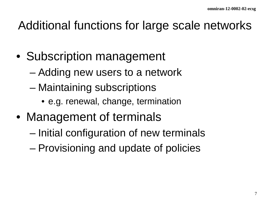#### Additional functions for large scale networks

- Subscription management
	- Adding new users to a network
	- Maintaining subscriptions
		- e.g. renewal, change, termination
- Management of terminals
	- Initial configuration of new terminals
	- Provisioning and update of policies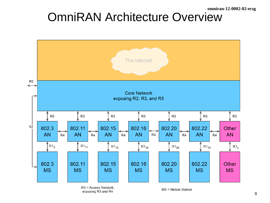## OmniRAN Architecture Overview



exposing R3 and R4

 $MS = Mobile Station$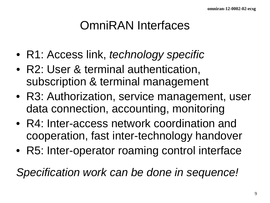## OmniRAN Interfaces

- R1: Access link, *technology specific*
- R2: User & terminal authentication, subscription & terminal management
- R3: Authorization, service management, user data connection, accounting, monitoring
- R4: Inter-access network coordination and cooperation, fast inter-technology handover
- R5: Inter-operator roaming control interface

*Specification work can be done in sequence!*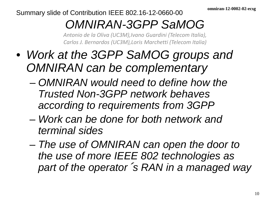Summary slide of Contribution IEEE 802.16-12-0660-00

# *OMNIRAN-3GPP SaMOG*

*Antonio de la Oliva (UC3M),Ivano Guardini (Telecom Italia), Carlos J. Bernardos (UC3M),Loris Marchetti (Telecom Italia)*

- *Work at the 3GPP SaMOG groups and OMNIRAN can be complementary*
	- *OMNIRAN would need to define how the Trusted Non-3GPP network behaves according to requirements from 3GPP*
	- *Work can be done for both network and terminal sides*
	- *The use of OMNIRAN can open the door to the use of more IEEE 802 technologies as part of the operator*´*s RAN in a managed way*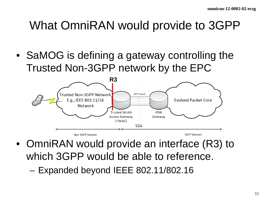## What OmniRAN would provide to 3GPP

• SaMOG is defining a gateway controlling the Trusted Non-3GPP network by the EPC



- OmniRAN would provide an interface (R3) to which 3GPP would be able to reference.
	- Expanded beyond IEEE 802.11/802.16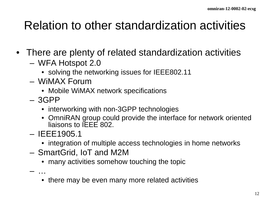#### Relation to other standardization activities

- There are plenty of related standardization activities
	- WFA Hotspot 2.0
		- solving the networking issues for IEEE802.11
	- WiMAX Forum
		- Mobile WiMAX network specifications
	- 3GPP
		- interworking with non-3GPP technologies
		- OmniRAN group could provide the interface for network oriented liaisons to IEEE 802.
	- IEEE1905.1
		- integration of multiple access technologies in home networks
	- SmartGrid, IoT and M2M
		- many activities somehow touching the topic

– …

• there may be even many more related activities